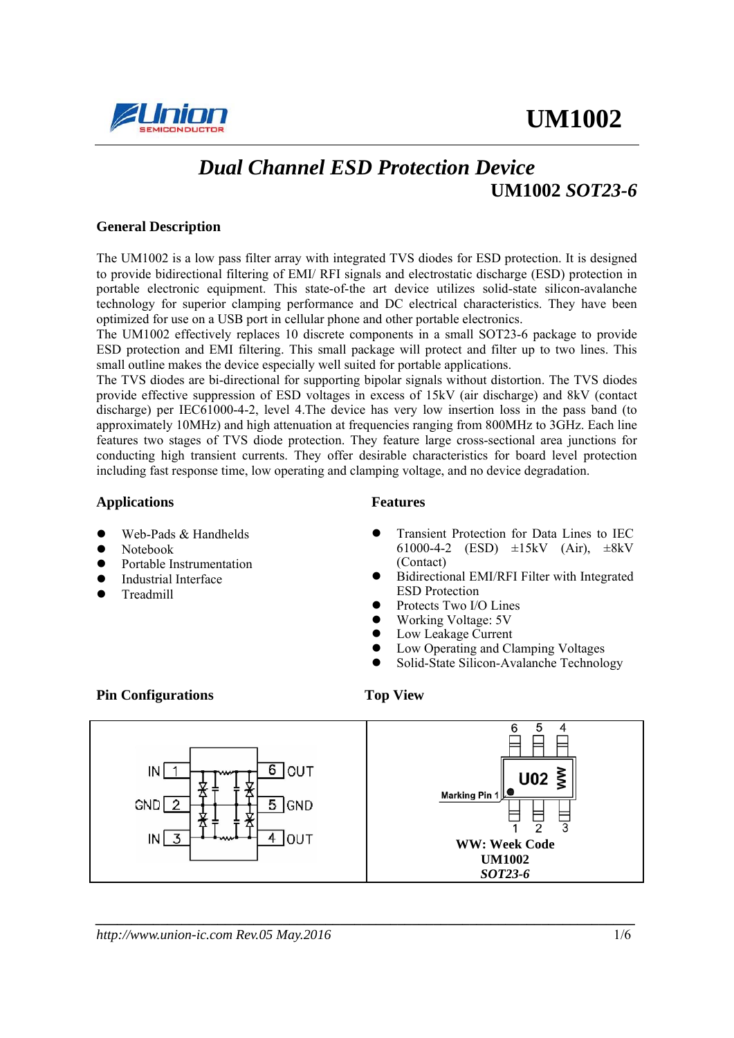



# *Dual Channel ESD Protection Device*   **UM1002** *SOT23-6*

#### **General Description**

The UM1002 is a low pass filter array with integrated TVS diodes for ESD protection. It is designed to provide bidirectional filtering of EMI/ RFI signals and electrostatic discharge (ESD) protection in portable electronic equipment. This state-of-the art device utilizes solid-state silicon-avalanche technology for superior clamping performance and DC electrical characteristics. They have been optimized for use on a USB port in cellular phone and other portable electronics.

The UM1002 effectively replaces 10 discrete components in a small SOT23-6 package to provide ESD protection and EMI filtering. This small package will protect and filter up to two lines. This small outline makes the device especially well suited for portable applications.

The TVS diodes are bi-directional for supporting bipolar signals without distortion. The TVS diodes provide effective suppression of ESD voltages in excess of 15kV (air discharge) and 8kV (contact discharge) per IEC61000-4-2, level 4.The device has very low insertion loss in the pass band (to approximately 10MHz) and high attenuation at frequencies ranging from 800MHz to 3GHz. Each line features two stages of TVS diode protection. They feature large cross-sectional area junctions for conducting high transient currents. They offer desirable characteristics for board level protection including fast response time, low operating and clamping voltage, and no device degradation.

#### Applications **Features**

- Web-Pads & Handhelds
- **Notebook**
- Portable Instrumentation
- Industrial Interface
- Treadmill

Transient Protection for Data Lines to IEC 61000-4-2 (ESD)  $\pm 15kV$  (Air),  $\pm 8kV$ (Contact)

- Bidirectional EMI/RFI Filter with Integrated ESD Protection
- Protects Two I/O Lines
- Working Voltage: 5V
- Low Leakage Current
- Low Operating and Clamping Voltages
- Solid-State Silicon-Avalanche Technology

#### **Pin Configurations Top View**

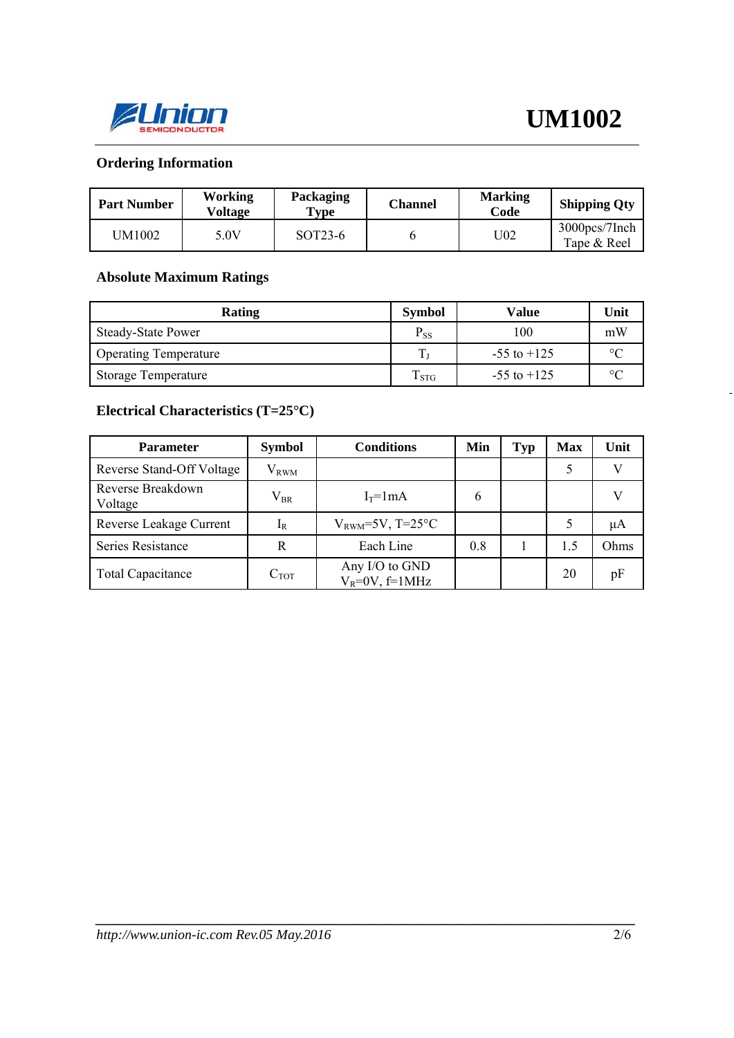

-

# **Ordering Information**

| <b>Part Number</b> | Working<br><b>Voltage</b> | Packaging<br>$\mathbf{Type}$ | Channel | <b>Marking</b><br>Code | <b>Shipping Qty</b>          |
|--------------------|---------------------------|------------------------------|---------|------------------------|------------------------------|
| UM1002             | 5.0V                      | SOT <sub>23</sub> -6         |         | U02                    | 3000pcs/7Inch<br>Tape & Reel |

### **Absolute Maximum Ratings**

| Rating                       | <b>Symbol</b>     | <b>Value</b>    | Unit    |
|------------------------------|-------------------|-----------------|---------|
| <b>Steady-State Power</b>    | $P_{SS}$          | 100             | mW      |
| <b>Operating Temperature</b> | $\mathbf{r}$      | $-55$ to $+125$ | $\circ$ |
| <b>Storage Temperature</b>   | $1\,\mathrm{STG}$ | $-55$ to $+125$ | $\circ$ |

# **Electrical Characteristics (T=25°C)**

| <b>Parameter</b>             | <b>Symbol</b>  | <b>Conditions</b>                     | Min | <b>Typ</b> | <b>Max</b> | Unit |
|------------------------------|----------------|---------------------------------------|-----|------------|------------|------|
| Reverse Stand-Off Voltage    | $\rm V_{RWM}$  |                                       |     |            |            |      |
| Reverse Breakdown<br>Voltage | $\rm V_{BR}$   | $I_T = 1mA$                           | 6   |            |            |      |
| Reverse Leakage Current      | 1 <sub>R</sub> | $V_{\text{RWM}}$ =5V, T=25°C          |     |            |            | μA   |
| Series Resistance            | R              | Each Line                             | 0.8 |            | 1.5        | Ohms |
| <b>Total Capacitance</b>     | $C_{TOT}$      | Any I/O to GND<br>$V_R = 0V$ , f=1MHz |     |            | 20         | pF   |

*\_\_\_\_\_\_\_\_\_\_\_\_\_\_\_\_\_\_\_\_\_\_\_\_\_\_\_\_\_\_\_\_\_\_\_\_\_\_\_\_\_\_\_\_\_\_\_\_\_\_\_\_\_\_\_\_\_\_\_\_\_\_\_\_\_\_\_\_\_\_\_\_\_\_\_*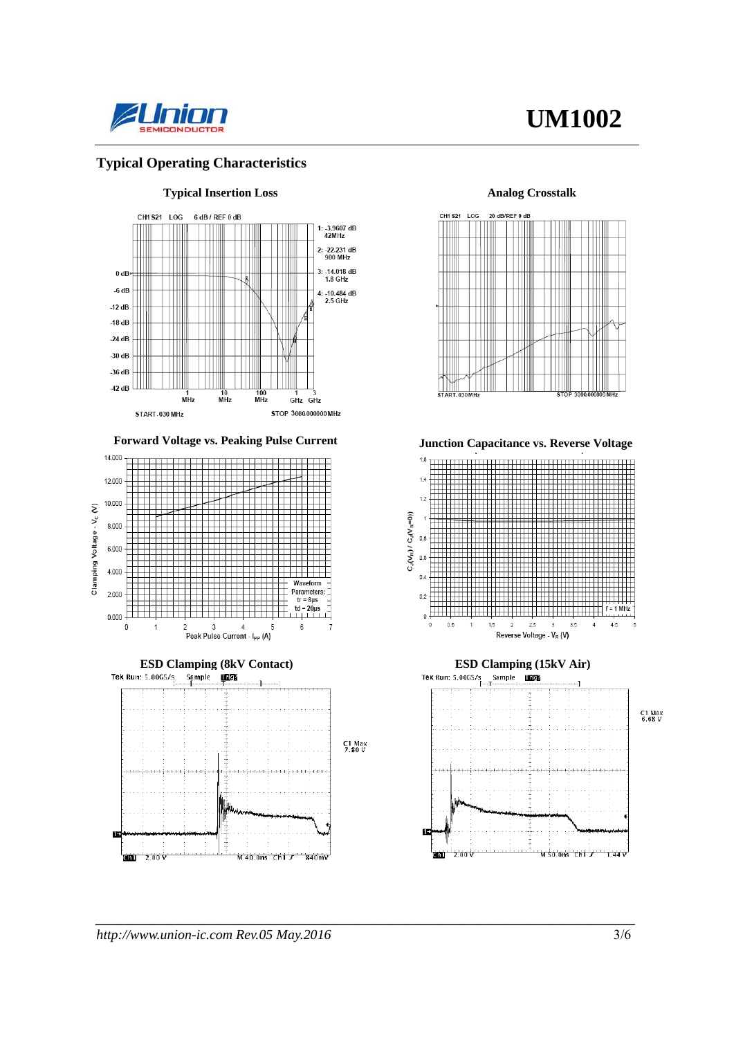

# **UM1002**

#### **Typical Operating Characteristics**



Forward Voltage vs. Peaking Pulse Current **Junction Capacitance vs. Reverse Voltage** 













*\_\_\_\_\_\_\_\_\_\_\_\_\_\_\_\_\_\_\_\_\_\_\_\_\_\_\_\_\_\_\_\_\_\_\_\_\_\_\_\_\_\_\_\_\_\_\_\_\_\_\_\_\_\_\_\_\_\_\_\_\_\_\_\_\_\_\_\_\_\_\_\_\_\_\_*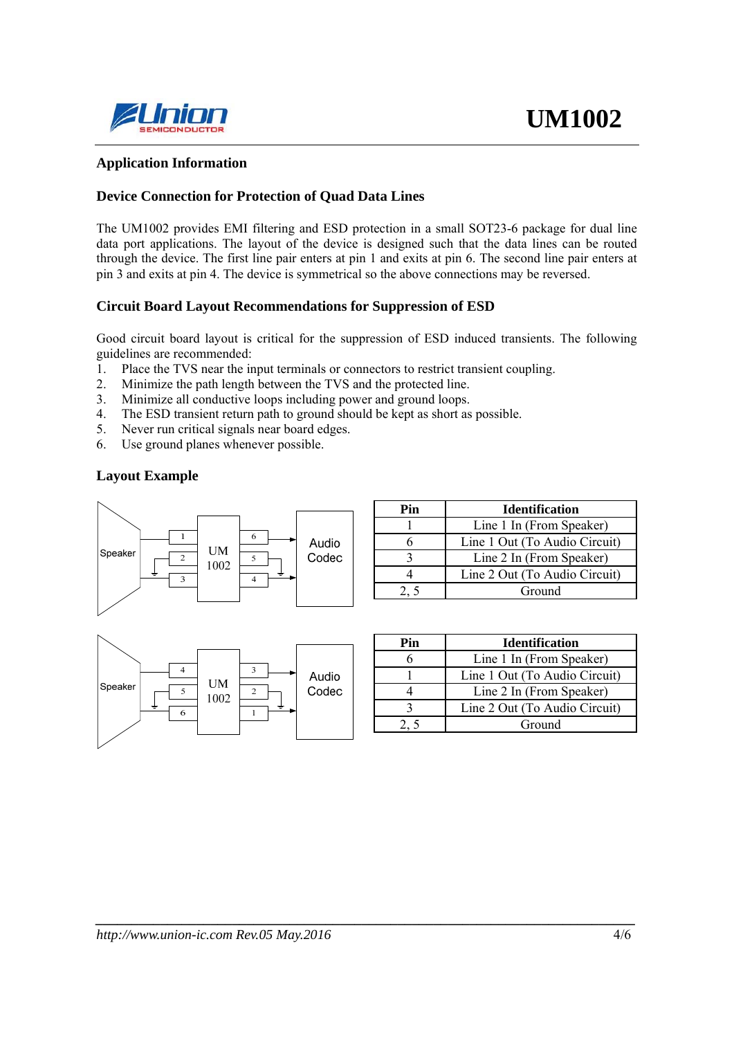

#### **Application Information**

#### **Device Connection for Protection of Quad Data Lines**

The UM1002 provides EMI filtering and ESD protection in a small SOT23-6 package for dual line data port applications. The layout of the device is designed such that the data lines can be routed through the device. The first line pair enters at pin 1 and exits at pin 6. The second line pair enters at pin 3 and exits at pin 4. The device is symmetrical so the above connections may be reversed.

#### **Circuit Board Layout Recommendations for Suppression of ESD**

Good circuit board layout is critical for the suppression of ESD induced transients. The following guidelines are recommended:

*\_\_\_\_\_\_\_\_\_\_\_\_\_\_\_\_\_\_\_\_\_\_\_\_\_\_\_\_\_\_\_\_\_\_\_\_\_\_\_\_\_\_\_\_\_\_\_\_\_\_\_\_\_\_\_\_\_\_\_\_\_\_\_\_\_\_\_\_\_\_\_\_\_\_\_* 

- 1. Place the TVS near the input terminals or connectors to restrict transient coupling.
- 2. Minimize the path length between the TVS and the protected line.
- 3. Minimize all conductive loops including power and ground loops.
- 4. The ESD transient return path to ground should be kept as short as possible.
- 5. Never run critical signals near board edges.
- 6. Use ground planes whenever possible.

#### **Layout Example**



| Pin | <b>Identification</b>         |  |  |  |
|-----|-------------------------------|--|--|--|
|     | Line 1 In (From Speaker)      |  |  |  |
|     | Line 1 Out (To Audio Circuit) |  |  |  |
|     | Line 2 In (From Speaker)      |  |  |  |
|     | Line 2 Out (To Audio Circuit) |  |  |  |
|     | Ground                        |  |  |  |



| Pin | <b>Identification</b>         |  |  |
|-----|-------------------------------|--|--|
|     | Line 1 In (From Speaker)      |  |  |
|     | Line 1 Out (To Audio Circuit) |  |  |
|     | Line 2 In (From Speaker)      |  |  |
|     | Line 2 Out (To Audio Circuit) |  |  |
|     | Ground                        |  |  |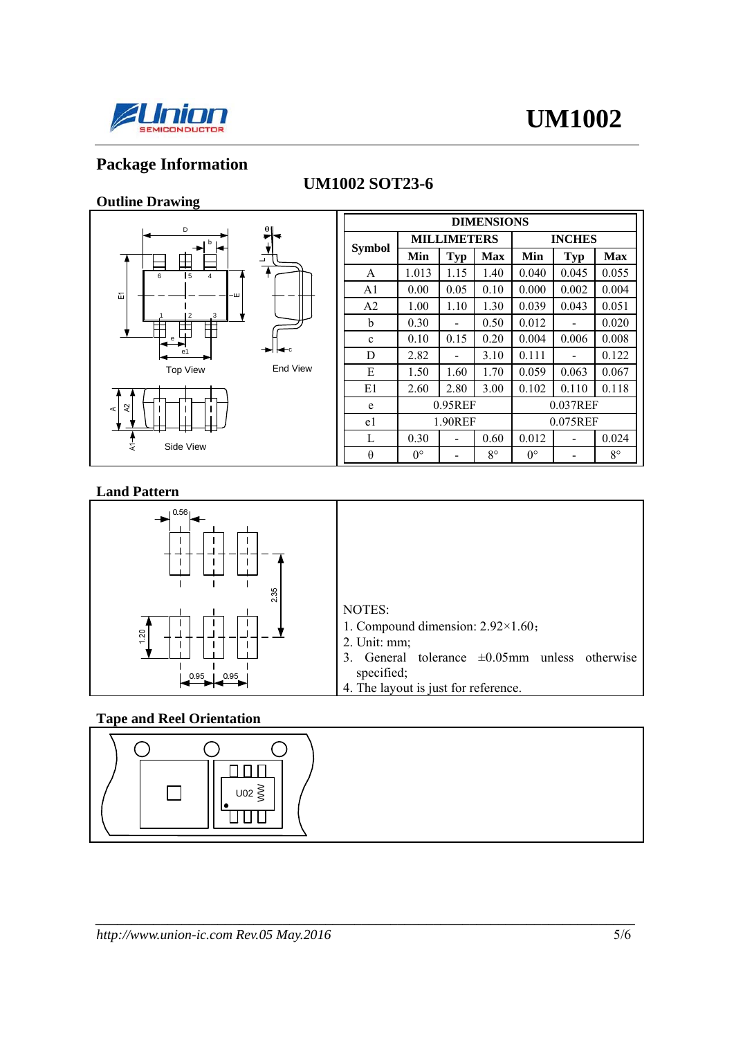

# **UM1002**

# **Package Information**

# **UM1002 SOT23-6**

## **Outline Drawing**



c

| <b>DIMENSIONS</b> |                    |            |             |               |            |             |
|-------------------|--------------------|------------|-------------|---------------|------------|-------------|
| Symbol            | <b>MILLIMETERS</b> |            |             | <b>INCHES</b> |            |             |
|                   | Min                | <b>Typ</b> | <b>Max</b>  | Min           | <b>Typ</b> | <b>Max</b>  |
| A                 | 1.013              | 1.15       | 1.40        | 0.040         | 0.045      | 0.055       |
| A <sub>1</sub>    | 0.00               | 0.05       | 0.10        | 0.000         | 0.002      | 0.004       |
| A <sub>2</sub>    | 1.00               | 1.10       | 1.30        | 0.039         | 0.043      | 0.051       |
| b                 | 0.30               |            | 0.50        | 0.012         |            | 0.020       |
| $\mathbf{c}$      | 0.10               | 0.15       | 0.20        | 0.004         | 0.006      | 0.008       |
| D                 | 2.82               |            | 3.10        | 0.111         |            | 0.122       |
| E                 | 1.50               | 1.60       | 1.70        | 0.059         | 0.063      | 0.067       |
| E1                | 2.60               | 2.80       | 3.00        | 0.102         | 0.110      | 0.118       |
| e                 | 0.95REF            |            |             | 0.037REF      |            |             |
| e1                | 1.90REF            |            |             | 0.075REF      |            |             |
| L                 | 0.30               |            | 0.60        | 0.012         |            | 0.024       |
| θ                 | $0^{\circ}$        |            | $8^{\circ}$ | $0^{\circ}$   |            | $8^{\circ}$ |

#### **Land Pattern**



#### **Tape and Reel Orientation**



*\_\_\_\_\_\_\_\_\_\_\_\_\_\_\_\_\_\_\_\_\_\_\_\_\_\_\_\_\_\_\_\_\_\_\_\_\_\_\_\_\_\_\_\_\_\_\_\_\_\_\_\_\_\_\_\_\_\_\_\_\_\_\_\_\_\_\_\_\_\_\_\_\_\_\_*